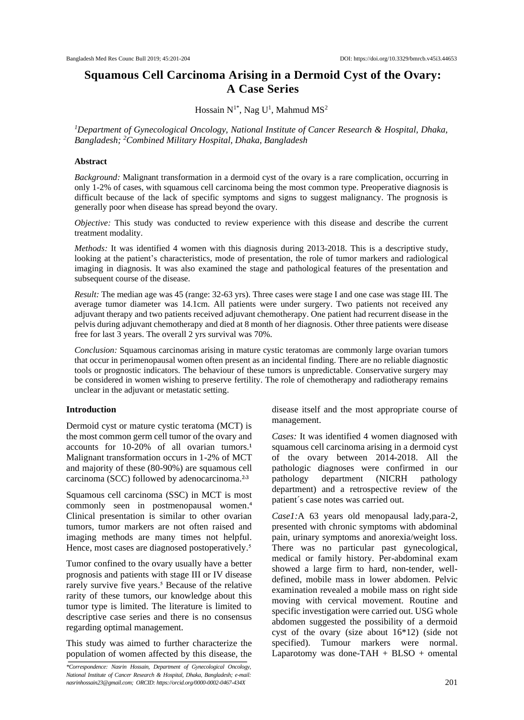# **Squamous Cell Carcinoma Arising in a Dermoid Cyst of the Ovary: A Case Series**

Hossain  $N^{1*}$ , Nag U<sup>1</sup>, Mahmud MS<sup>2</sup>

*<sup>1</sup>Department of Gynecological Oncology, National Institute of Cancer Research & Hospital, Dhaka, Bangladesh; <sup>2</sup>Combined Military Hospital, Dhaka, Bangladesh*

# **Abstract**

*Background:* Malignant transformation in a dermoid cyst of the ovary is a rare complication, occurring in only 1-2% of cases, with squamous cell carcinoma being the most common type. Preoperative diagnosis is difficult because of the lack of specific symptoms and signs to suggest malignancy. The prognosis is generally poor when disease has spread beyond the ovary.

*Objective:* This study was conducted to review experience with this disease and describe the current treatment modality.

*Methods:* It was identified 4 women with this diagnosis during 2013-2018. This is a descriptive study, looking at the patient's characteristics, mode of presentation, the role of tumor markers and radiological imaging in diagnosis. It was also examined the stage and pathological features of the presentation and subsequent course of the disease.

*Result:* The median age was 45 (range: 32-63 yrs). Three cases were stage I and one case was stage III. The average tumor diameter was 14.1cm. All patients were under surgery. Two patients not received any adjuvant therapy and two patients received adjuvant chemotherapy. One patient had recurrent disease in the pelvis during adjuvant chemotherapy and died at 8 month of her diagnosis. Other three patients were disease free for last 3 years. The overall 2 yrs survival was 70%.

*Conclusion:* Squamous carcinomas arising in mature cystic teratomas are commonly large ovarian tumors that occur in perimenopausal women often present as an incidental finding. There are no reliable diagnostic tools or prognostic indicators. The behaviour of these tumors is unpredictable. Conservative surgery may be considered in women wishing to preserve fertility. The role of chemotherapy and radiotherapy remains unclear in the adjuvant or metastatic setting.

# **Introduction**

Dermoid cyst or mature cystic teratoma (MCT) is the most common germ cell tumor of the ovary and accounts for  $10-20%$  of all ovarian tumors.<sup>1</sup> Malignant transformation occurs in 1-2% of MCT and majority of these (80-90%) are squamous cell carcinoma (SCC) followed by adenocarcinoma.<sup>2,3</sup>

Squamous cell carcinoma (SSC) in MCT is most commonly seen in postmenopausal women.<sup>4</sup> Clinical presentation is similar to other ovarian tumors, tumor markers are not often raised and imaging methods are many times not helpful. Hence, most cases are diagnosed postoperatively.<sup>5</sup>

Tumor confined to the ovary usually have a better prognosis and patients with stage III or IV disease rarely survive five years.<sup>5</sup> Because of the relative rarity of these tumors, our knowledge about this tumor type is limited. The literature is limited to descriptive case series and there is no consensus regarding optimal management.

This study was aimed to further characterize the population of women affected by this disease, the

*\*Correspondence: Nasrin Hossain, Department of Gynecological Oncology, National Institute of Cancer Research & Hospital, Dhaka, Bangladesh; e-mail: nasrinhossain23@gmail.com; ORCID: https://orcid.org/0000-0002-0467-434X*

disease itself and the most appropriate course of management.

*Cases:* It was identified 4 women diagnosed with squamous cell carcinoma arising in a dermoid cyst of the ovary between 2014-2018. All the pathologic diagnoses were confirmed in our pathology department (NICRH pathology department) and a retrospective review of the patient´s case notes was carried out.

*Case1:*A 63 years old menopausal lady,para-2, presented with chronic symptoms with abdominal pain, urinary symptoms and anorexia/weight loss. There was no particular past gynecological, medical or family history. Per-abdominal exam showed a large firm to hard, non-tender, welldefined, mobile mass in lower abdomen. Pelvic examination revealed a mobile mass on right side moving with cervical movement. Routine and specific investigation were carried out. USG whole abdomen suggested the possibility of a dermoid cyst of the ovary (size about 16\*12) (side not specified). Tumour markers were normal. Laparotomy was done-TAH + BLSO + omental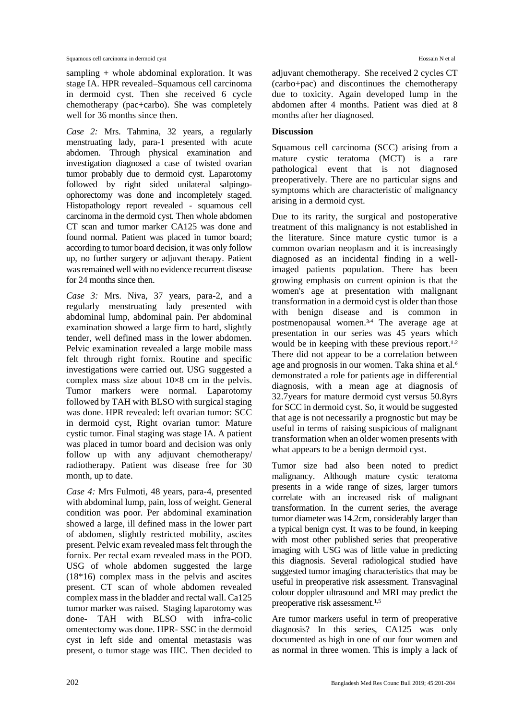sampling + whole abdominal exploration. It was stage IA. HPR revealed–Squamous cell carcinoma in dermoid cyst. Then she received 6 cycle chemotherapy (pac+carbo). She was completely well for 36 months since then.

*Case 2:* Mrs. Tahmina, 32 years, a regularly menstruating lady, para-1 presented with acute abdomen. Through physical examination and investigation diagnosed a case of twisted ovarian tumor probably due to dermoid cyst. Laparotomy followed by right sided unilateral salpingoophorectomy was done and incompletely staged. Histopathology report revealed - squamous cell carcinoma in the dermoid cyst. Then whole abdomen CT scan and tumor marker CA125 was done and found normal. Patient was placed in tumor board; according to tumor board decision, it was only follow up, no further surgery or adjuvant therapy. Patient was remained well with no evidence recurrent disease for 24 months since then.

*Case 3:* Mrs. Niva, 37 years, para-2, and a regularly menstruating lady presented with abdominal lump, abdominal pain. Per abdominal examination showed a large firm to hard, slightly tender, well defined mass in the lower abdomen. Pelvic examination revealed a large mobile mass felt through right fornix. Routine and specific investigations were carried out. USG suggested a complex mass size about 10×8 cm in the pelvis. Tumor markers were normal. Laparotomy followed by TAH with BLSO with surgical staging was done. HPR revealed: left ovarian tumor: SCC in dermoid cyst, Right ovarian tumor: Mature cystic tumor. Final staging was stage IA. A patient was placed in tumor board and decision was only follow up with any adjuvant chemotherapy/ radiotherapy. Patient was disease free for 30 month, up to date.

*Case 4:* Mrs Fulmoti, 48 years, para-4, presented with abdominal lump, pain, loss of weight. General condition was poor. Per abdominal examination showed a large, ill defined mass in the lower part of abdomen, slightly restricted mobility, ascites present. Pelvic exam revealed mass felt through the fornix. Per rectal exam revealed mass in the POD. USG of whole abdomen suggested the large (18\*16) complex mass in the pelvis and ascites present. CT scan of whole abdomen revealed complex mass in the bladder and rectal wall. Ca125 tumor marker was raised. Staging laparotomy was done- TAH with BLSO with infra-colic omentectomy was done. HPR- SSC in the dermoid cyst in left side and omental metastasis was present, o tumor stage was IIIC. Then decided to

adjuvant chemotherapy. She received 2 cycles CT (carbo+pac) and discontinues the chemotherapy due to toxicity. Again developed lump in the abdomen after 4 months. Patient was died at 8 months after her diagnosed.

## **Discussion**

Squamous cell carcinoma (SCC) arising from a mature cystic teratoma (MCT) is a rare pathological event that is not diagnosed preoperatively. There are no particular signs and symptoms which are characteristic of malignancy arising in a dermoid cyst.

Due to its rarity, the surgical and postoperative treatment of this malignancy is not established in the literature. Since mature cystic tumor is a common ovarian neoplasm and it is increasingly diagnosed as an incidental finding in a wellimaged patients population. There has been growing emphasis on current opinion is that the women's age at presentation with malignant transformation in a dermoid cyst is older than those with benign disease and is common in postmenopausal women.<sup>3,4</sup> The average age at presentation in our series was 45 years which would be in keeping with these previous report.<sup>1,2</sup> There did not appear to be a correlation between age and prognosis in our women. Taka shina et al.<sup>6</sup> demonstrated a role for patients age in differential diagnosis, with a mean age at diagnosis of 32.7years for mature dermoid cyst versus 50.8yrs for SCC in dermoid cyst. So, it would be suggested that age is not necessarily a prognostic but may be useful in terms of raising suspicious of malignant transformation when an older women presents with what appears to be a benign dermoid cyst.

Tumor size had also been noted to predict malignancy. Although mature cystic teratoma presents in a wide range of sizes, larger tumors correlate with an increased risk of malignant transformation. In the current series, the average tumor diameter was 14.2cm, considerably larger than a typical benign cyst. It was to be found, in keeping with most other published series that preoperative imaging with USG was of little value in predicting this diagnosis. Several radiological studied have suggested tumor imaging characteristics that may be useful in preoperative risk assessment. Transvaginal colour doppler ultrasound and MRI may predict the preoperative risk assessment. 1,5

Are tumor markers useful in term of preoperative diagnosis? In this series, CA125 was only documented as high in one of our four women and as normal in three women. This is imply a lack of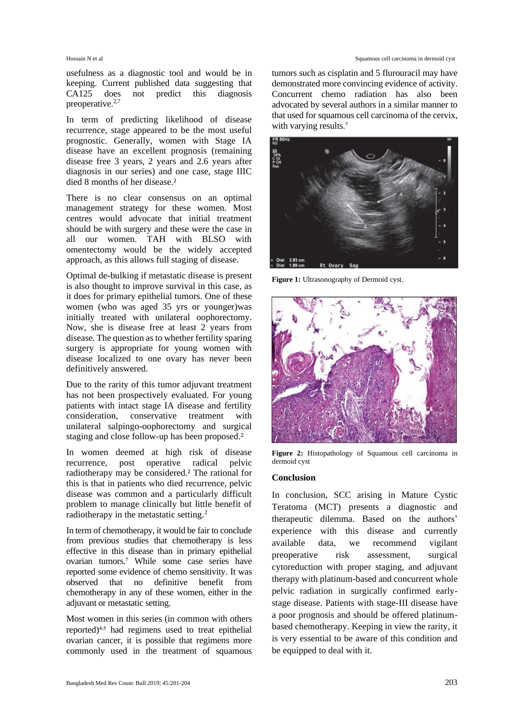usefulness as a diagnostic tool and would be in keeping. Current published data suggesting that CA125 does not predict this diagnosis preoperative. 2,7

In term of predicting likelihood of disease recurrence, stage appeared to be the most useful prognostic. Generally, women with Stage IA disease have an excellent prognosis (remaining disease free 3 years, 2 years and 2.6 years after diagnosis in our series) and one case, stage IIIC died 8 months of her disease.<sup>2</sup>

There is no clear consensus on an optimal management strategy for these women. Most centres would advocate that initial treatment should be with surgery and these were the case in all our women. TAH with BLSO with omentectomy would be the widely accepted approach, as this allows full staging of disease.

Optimal de-bulking if metastatic disease is present is also thought to improve survival in this case, as it does for primary epithelial tumors. One of these women (who was aged 35 yrs or younger)was initially treated with unilateral oophorectomy. Now, she is disease free at least 2 years from disease. The question as to whether fertility sparing surgery is appropriate for young women with disease localized to one ovary has never been definitively answered.

Due to the rarity of this tumor adjuvant treatment has not been prospectively evaluated. For young patients with intact stage IA disease and fertility consideration, conservative treatment with unilateral salpingo-oophorectomy and surgical staging and close follow-up has been proposed.²

In women deemed at high risk of disease recurrence, post operative radical pelvic radiotherapy may be considered.² The rational for this is that in patients who died recurrence, pelvic disease was common and a particularly difficult problem to manage clinically but little benefit of radiotherapy in the metastatic setting.<sup>2</sup>

In term of chemotherapy, it would be fair to conclude from previous studies that chemotherapy is less effective in this disease than in primary epithelial ovarian tumors.<sup>7</sup> While some case series have reported some evidence of chemo sensitivity. It was observed that no definitive benefit from chemotherapy in any of these women, either in the adjuvant or metastatic setting.

Most women in this series (in common with others reported)<sup>4,5</sup> had regimens used to treat epithelial ovarian cancer, it is possible that regimens more commonly used in the treatment of squamous

#### Hossain N et al Squamous cell carcinoma in dermoid cyst

tumors such as cisplatin and 5 flurouracil may have demonstrated more convincing evidence of activity. Concurrent chemo radiation has also been advocated by several authors in a similar manner to that used for squamous cell carcinoma of the cervix, with varying results.<sup>7</sup>



**Figure 1:** Ultrasonography of Dermoid cyst.



**Figure 2:** Histopathology of Squamous cell carcinoma in dermoid cyst

### **Conclusion**

In conclusion, SCC arising in Mature Cystic Teratoma (MCT) presents a diagnostic and therapeutic dilemma. Based on the authors' experience with this disease and currently available data, we recommend vigilant preoperative risk assessment, surgical cytoreduction with proper staging, and adjuvant therapy with platinum-based and concurrent whole pelvic radiation in surgically confirmed earlystage disease. Patients with stage-III disease have a poor prognosis and should be offered platinumbased chemotherapy. Keeping in view the rarity, it is very essential to be aware of this condition and be equipped to deal with it.